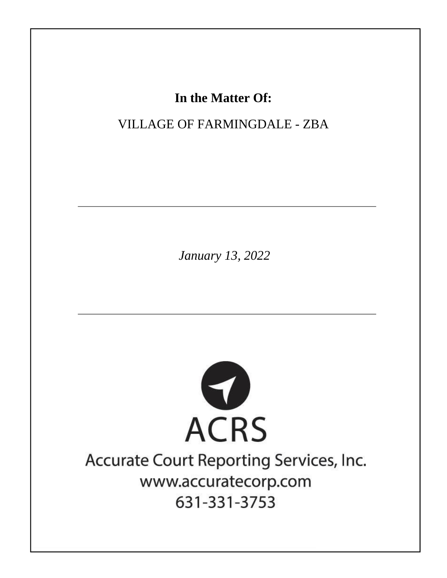# In the Matter Of:

# **VILLAGE OF FARMINGDALE - ZBA**

January 13, 2022



# Accurate Court Reporting Services, Inc. www.accuratecorp.com 631-331-3753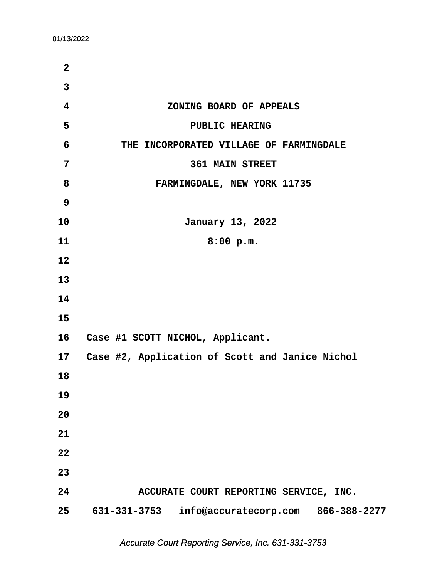| $\overline{2}$ |                                                    |
|----------------|----------------------------------------------------|
| $\overline{3}$ |                                                    |
| 4              | ZONING BOARD OF APPEALS                            |
| 5              | PUBLIC HEARING                                     |
| 6              | THE INCORPORATED VILLAGE OF FARMINGDALE            |
| 7              | <b>361 MAIN STREET</b>                             |
| 8              | FARMINGDALE, NEW YORK 11735                        |
| 9              |                                                    |
| 10             | January 13, 2022                                   |
| 11             | 8:00 p.m.                                          |
| 12             |                                                    |
| 13             |                                                    |
| 14             |                                                    |
| 15             |                                                    |
| 16             | Case #1 SCOTT NICHOL, Applicant.                   |
|                | 17 Case #2, Application of Scott and Janice Nichol |
| 18             |                                                    |
| 19             |                                                    |
| 20             |                                                    |
| 21             |                                                    |
| 22             |                                                    |
| 23             |                                                    |
| 24             | ACCURATE COURT REPORTING SERVICE, INC.             |
| 25             | 631-331-3753 info@accuratecorp.com<br>866-388-2277 |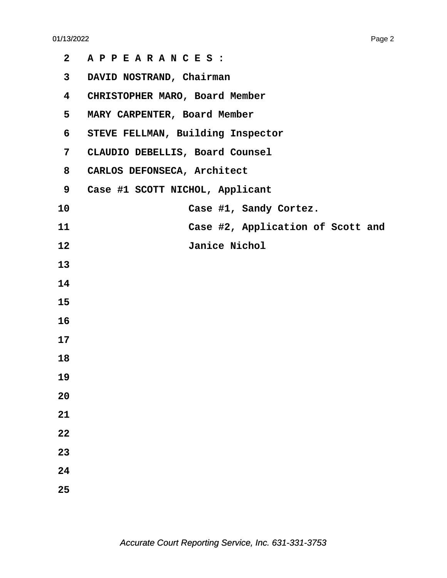| $\mathbf{2}$ | APPEARANCES:                      |
|--------------|-----------------------------------|
| 3            | DAVID NOSTRAND, Chairman          |
| 4            | CHRISTOPHER MARO, Board Member    |
| 5            | MARY CARPENTER, Board Member      |
| 6            | STEVE FELLMAN, Building Inspector |
| 7            | CLAUDIO DEBELLIS, Board Counsel   |
| 8            | CARLOS DEFONSECA, Architect       |
| 9            | Case #1 SCOTT NICHOL, Applicant   |
| 10           | Case #1, Sandy Cortez.            |
| 11           | Case #2, Application of Scott and |
| 12           | Janice Nichol                     |
| 13           |                                   |
| 14           |                                   |
| 15           |                                   |
| 16           |                                   |
| 17           |                                   |
| 18           |                                   |
| 19           |                                   |
| 20           |                                   |
| 21           |                                   |
| 22           |                                   |
| 23           |                                   |
| 24           |                                   |
| 25           |                                   |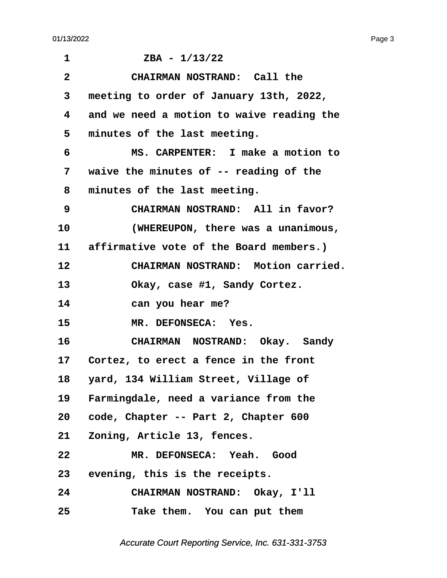<span id="page-3-0"></span>

| $\mathbf 1$     | $ZBA - 1/13/22$                            |
|-----------------|--------------------------------------------|
| $\mathbf{2}$    | CHAIRMAN NOSTRAND: Call the                |
| 3               | meeting to order of January 13th, 2022,    |
| 4               | and we need a motion to waive reading the  |
| 5               | minutes of the last meeting.               |
| 6               | MS. CARPENTER: I make a motion to          |
| 7               | waive the minutes of -- reading of the     |
| 8               | minutes of the last meeting.               |
| 9               | CHAIRMAN NOSTRAND: All in favor?           |
| 10              | (WHEREUPON, there was a unanimous,         |
|                 | 11 affirmative vote of the Board members.) |
| 12              | CHAIRMAN NOSTRAND: Motion carried.         |
| 13              | Okay, case #1, Sandy Cortez.               |
| 14              | can you hear me?                           |
| 15              | MR. DEFONSECA: Yes.                        |
| 16              | CHAIRMAN NOSTRAND: Okay. Sandy             |
| 17              | Cortez, to erect a fence in the front      |
| 18              | yard, 134 William Street, Village of       |
| 19              | Farmingdale, need a variance from the      |
| 20 <sub>o</sub> | code, Chapter -- Part 2, Chapter 600       |
| 21              | Zoning, Article 13, fences.                |
| 22              | MR. DEFONSECA: Yeah. Good                  |
| 23              | evening, this is the receipts.             |
| 24              | CHAIRMAN NOSTRAND: Okay, I'll              |
| 25              | Take them. You can put them                |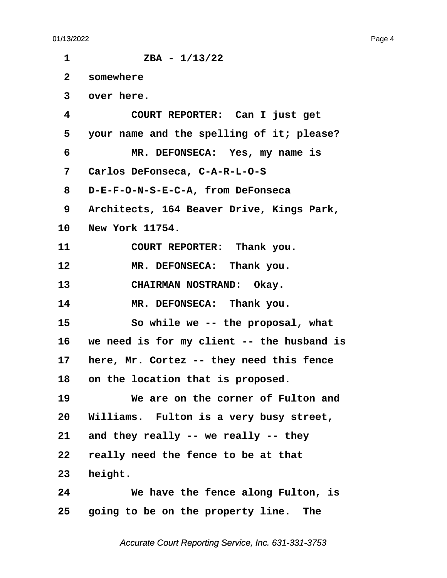<span id="page-4-0"></span> $1 \t\t ZBA - 1/13/22$ **·2· ·somewhere ·3· ·over here. ·4· · · · · COURT REPORTER:· Can I just get ·5· ·your name and the spelling of it; please? ·6· · · · · MR. DEFONSECA:· Yes, my name is ·7· ·Carlos DeFonseca, C-A-R-L-O-S ·8· ·D-E-F-O-N-S-E-C-A, from DeFonseca ·9· ·Architects, 164 Beaver Drive, Kings Park,** 10 **New York 11754.** 11 **COURT REPORTER:** Thank you. 12 MR. DEFONSECA: Thank you. 13 **CHAIRMAN NOSTRAND:** Okay. 14 MR. DEFONSECA: Thank you. 15 **· · · · · So while we -- the proposal, what 16· ·we need is for my client -- the husband is** 17 here, Mr. Cortez -- they need this fence 18 on the location that is proposed. **19· · · · · We are on the corner of Fulton and** 20 Williams. Fulton is a very busy street, 21 and they really -- we really -- they **22· ·really need the fence to be at that** 23 height. **24· · · · · We have the fence along Fulton, is** 25 **going to be on the property line.** The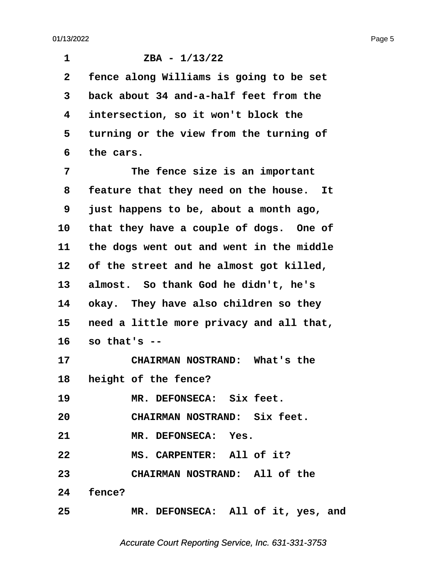<span id="page-5-0"></span>

| 1              | $ZBA - 1/13/22$                          |
|----------------|------------------------------------------|
| $\overline{2}$ | fence along Williams is going to be set  |
| 3              | back about 34 and-a-half feet from the   |
| 4              | intersection, so it won't block the      |
| 5              | turning or the view from the turning of  |
| 6              | the cars.                                |
| 7              | The fence size is an important           |
| 8              | feature that they need on the house. It  |
| 9              | just happens to be, about a month ago,   |
| 10             | that they have a couple of dogs. One of  |
| 11             | the dogs went out and went in the middle |
| 12             | of the street and he almost got killed,  |
| 13             | almost. So thank God he didn't, he's     |
| 14             | okay. They have also children so they    |
| 15             | need a little more privacy and all that, |
| 16             | so that's $-$                            |
| 17             | CHAIRMAN NOSTRAND: What's the            |
|                | 18 height of the fence?                  |
| 19             | MR. DEFONSECA: Six feet.                 |
| 20             | CHAIRMAN NOSTRAND: Six feet.             |
| 21             | MR. DEFONSECA: Yes.                      |
| 22             | MS. CARPENTER: All of it?                |
| 23             | <b>CHAIRMAN NOSTRAND: All of the</b>     |
|                | 24 fence?                                |
| 25             | MR. DEFONSECA: All of it, yes, and       |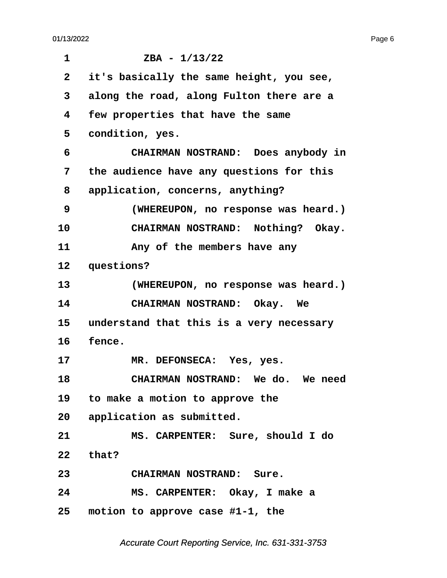e de la construcción de la construcción de la construcción de la construcción de la construcción de la construcción de la construcción de la construcción de la construcción de la construcción de la construcción de la const

<span id="page-6-0"></span>

| 1               | $ZBA - 1/13/22$                          |
|-----------------|------------------------------------------|
| $\mathbf{2}$    | it's basically the same height, you see, |
| 3               | along the road, along Fulton there are a |
| 4               | few properties that have the same        |
| 5               | condition, yes.                          |
| 6               | CHAIRMAN NOSTRAND: Does anybody in       |
| 7               | the audience have any questions for this |
| 8               | application, concerns, anything?         |
| 9               | (WHEREUPON, no response was heard.)      |
| 10              | CHAIRMAN NOSTRAND: Nothing? Okay.        |
| 11              | Any of the members have any              |
| 12              | questions?                               |
| 13              | (WHEREUPON, no response was heard.)      |
| 14              | CHAIRMAN NOSTRAND: Okay. We              |
| 15 <sub>2</sub> | understand that this is a very necessary |
| 16              | fence.                                   |
| 17              | MR. DEFONSECA: Yes, yes.                 |
| 18              | CHAIRMAN NOSTRAND: We do. We need        |
|                 | 19 to make a motion to approve the       |
|                 | 20 application as submitted.             |
| 21              | MS. CARPENTER: Sure, should I do         |
| 22              | that?                                    |
| 23              | CHAIRMAN NOSTRAND: Sure.                 |
| 24              | MS. CARPENTER: Okay, I make a            |
| 25              | motion to approve case #1-1, the         |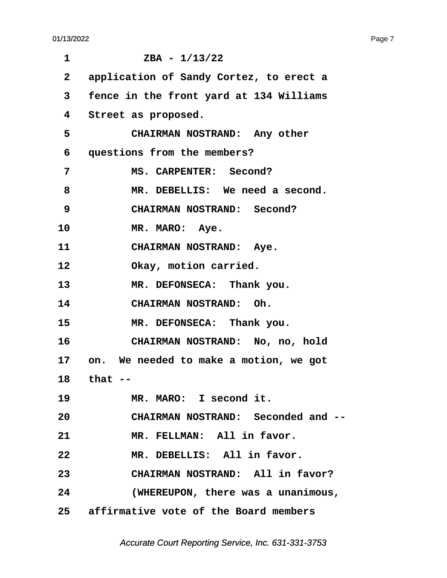<span id="page-7-0"></span>

| 1            | $ZBA - 1/13/22$                           |
|--------------|-------------------------------------------|
| $\mathbf{2}$ | application of Sandy Cortez, to erect a   |
| 3            | fence in the front yard at 134 Williams   |
| 4            | Street as proposed.                       |
| 5            | CHAIRMAN NOSTRAND: Any other              |
| 6            | questions from the members?               |
| 7            | MS. CARPENTER: Second?                    |
| 8            | MR. DEBELLIS: We need a second.           |
| 9            | CHAIRMAN NOSTRAND: Second?                |
| 10           | MR. MARO: Aye.                            |
| 11           | CHAIRMAN NOSTRAND: Aye.                   |
| 12           | Okay, motion carried.                     |
| 13           | MR. DEFONSECA: Thank you.                 |
| 14           | <b>CHAIRMAN NOSTRAND: Oh.</b>             |
| 15           | MR. DEFONSECA: Thank you.                 |
| 16           | CHAIRMAN NOSTRAND: No, no, hold           |
|              | 17 on. We needed to make a motion, we got |
|              | 18 that                                   |
| 19           | MR. MARO: I second it.                    |
| 20           | CHAIRMAN NOSTRAND: Seconded and --        |
| 21           | MR. FELLMAN: All in favor.                |
| 22           | MR. DEBELLIS: All in favor.               |
| 23           | CHAIRMAN NOSTRAND: All in favor?          |
| 24           | (WHEREUPON, there was a unanimous,        |
|              | 25 affirmative vote of the Board members  |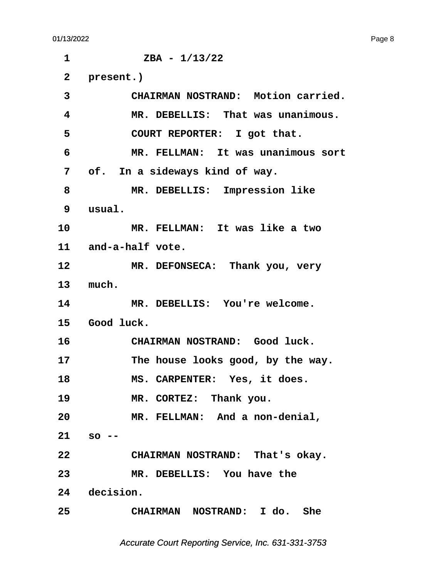<span id="page-8-0"></span> $1 \t\t ZBA - 1/13/22$ 2 present.) **·3· · · · · CHAIRMAN NOSTRAND:· Motion carried. ·4· · · · · MR. DEBELLIS:· That was unanimous.** 5 COURT REPORTER: I got that. **·6· · · · · MR. FELLMAN:· It was unanimous sort ·7· ·of.· In a sideways kind of way. ·8· · · · · MR. DEBELLIS:· Impression like ·9· ·usual. 10· · · · · MR. FELLMAN:· It was like a two** 11 and-a-half vote. 12 MR. DEFONSECA: Thank you, very 13 much. 14 MR. DEBELLIS: You're welcome. 15 Good luck. 16 **· · CHAIRMAN NOSTRAND:** Good luck. 17 **· · · · · · The house looks good, by the way.** 18 **MS. CARPENTER:** Yes, it does. 19 **MR. CORTEZ:** Thank you. **20· · · · · MR. FELLMAN:· And a non-denial, 21· ·so -- 22· · · · · CHAIRMAN NOSTRAND:· That's okay. 23· · · · · MR. DEBELLIS:· You have the** 24 decision. **25· · · · · CHAIRMAN· NOSTRAND:· I do.· She**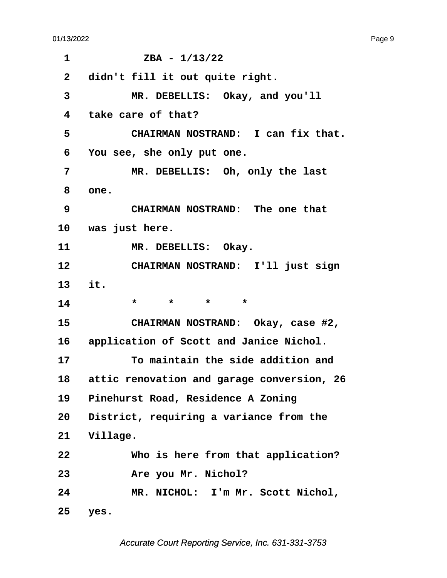<span id="page-9-0"></span>

| 1                       | $ZBA - 1/13/22$                            |
|-------------------------|--------------------------------------------|
| $\overline{\mathbf{2}}$ | didn't fill it out quite right.            |
| 3                       | MR. DEBELLIS: Okay, and you'll             |
| 4                       | take care of that?                         |
| 5                       | CHAIRMAN NOSTRAND: I can fix that.         |
| 6                       | You see, she only put one.                 |
| 7                       | MR. DEBELLIS: Oh, only the last            |
| 8                       | one.                                       |
| 9                       | CHAIRMAN NOSTRAND: The one that            |
|                         | 10 was just here.                          |
| 11                      | MR. DEBELLIS: Okay.                        |
| 12                      | CHAIRMAN NOSTRAND: I'll just sign          |
| 13                      | it.                                        |
| 14                      | $\star$<br>$\star$ $\star$<br>$\star$      |
| 15                      | CHAIRMAN NOSTRAND: Okay, case #2,          |
|                         | 16 application of Scott and Janice Nichol. |
| 17                      | To maintain the side addition and          |
| 18                      | attic renovation and garage conversion, 26 |
| 19                      | Pinehurst Road, Residence A Zoning         |
| 20                      | District, requiring a variance from the    |
|                         | 21 Village.                                |
| 22                      | Who is here from that application?         |
| 23                      | Are you Mr. Nichol?                        |
| 24                      | MR. NICHOL: I'm Mr. Scott Nichol,          |
| 25                      | yes.                                       |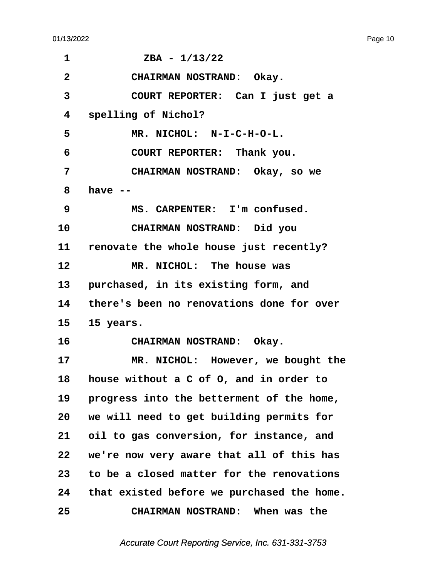<span id="page-10-0"></span>

| 1            | $ZBA - 1/13/22$                              |
|--------------|----------------------------------------------|
| $\mathbf{2}$ | CHAIRMAN NOSTRAND: Okay.                     |
| 3            | COURT REPORTER: Can I just get a             |
| 4            | spelling of Nichol?                          |
| 5            | MR. NICHOL: N-I-C-H-O-L.                     |
| 6            | COURT REPORTER: Thank you.                   |
| 7            | CHAIRMAN NOSTRAND: Okay, so we               |
| 8            | have $-$                                     |
| 9            | MS. CARPENTER: I'm confused.                 |
| 10           | CHAIRMAN NOSTRAND: Did you                   |
| 11 —         | renovate the whole house just recently?      |
| 12           | MR. NICHOL: The house was                    |
| 13           | purchased, in its existing form, and         |
|              | 14 there's been no renovations done for over |
| 15           | 15 years.                                    |
| 16           | CHAIRMAN NOSTRAND: Okay.                     |
| 17           | MR. NICHOL: However, we bought the           |
| 18           | house without a C of O, and in order to      |
| 19           | progress into the betterment of the home,    |
| 20           | we will need to get building permits for     |
| 21           | oil to gas conversion, for instance, and     |
| 22           | we're now very aware that all of this has    |
| 23           | to be a closed matter for the renovations    |
| 24           | that existed before we purchased the home.   |
| 25           | CHAIRMAN NOSTRAND: When was the              |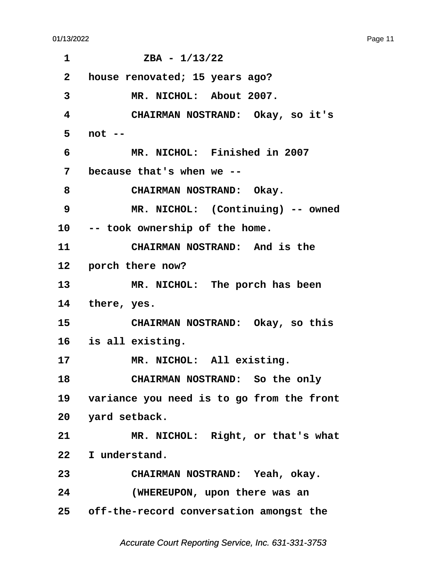<span id="page-11-0"></span> $1 \t\t ZBA - 1/13/22$ **·2· ·house renovated; 15 years ago? ·3· · · · · MR. NICHOL:· About 2007. ·4· · · · · CHAIRMAN NOSTRAND:· Okay, so it's ·5· ·not -- ·6· · · · · MR. NICHOL:· Finished in 2007 ·7· ·because that's when we --** 8 **· · CHAIRMAN NOSTRAND:** Okay. **·9· · · · · MR. NICHOL:· (Continuing) -- owned** 10 -- took ownership of the home. 11 **CHAIRMAN NOSTRAND:** And is the 12 **porch there now?** 13 MR. NICHOL: The porch has been 14 there, yes. 15 **CHAIRMAN NOSTRAND:** Okay, so this **16· ·is all existing.** 17 MR. NICHOL: All existing. 18 **CHAIRMAN NOSTRAND:** So the only 19 variance you need is to go from the front 20 yard setback. 21 MR. NICHOL: Right, or that's what 22 I understand. **23· · · · · CHAIRMAN NOSTRAND:· Yeah, okay. 24· · · · · (WHEREUPON, upon there was an 25· ·off-the-record conversation amongst the**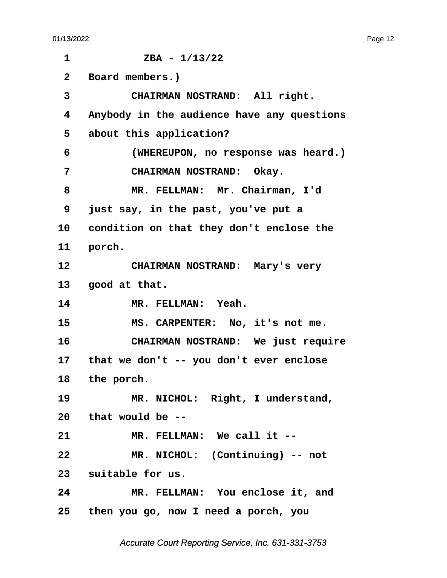<span id="page-12-0"></span> $1 \t\t ZBA - 1/13/22$ **·2· ·Board members.)** 3 **CHAIRMAN NOSTRAND:** All right. **·4· ·Anybody in the audience have any questions** 5 about this application? **·6· · · · · (WHEREUPON, no response was heard.) ·7· · · · · CHAIRMAN NOSTRAND:· Okay.** 8 MR. FELLMAN: Mr. Chairman, I'd **·9· ·just say, in the past, you've put a** 10 condition on that they don't enclose the 11 **porch.** 12 **CHAIRMAN NOSTRAND:** Mary's very 13 **good at that.** 14 **MR. FELLMAN: Yeah.** 15 MS. CARPENTER: No, it's not me. **16· · · · · CHAIRMAN NOSTRAND:· We just require** 17 that we don't -- you don't ever enclose 18 the porch. 19 MR. NICHOL: Right, I understand, **20· ·that would be --** 21 MR. FELLMAN: We call it --22 MR. NICHOL: (Continuing) -- not 23 suitable for us. **24· · · · · MR. FELLMAN:· You enclose it, and 25· ·then you go, now I need a porch, you**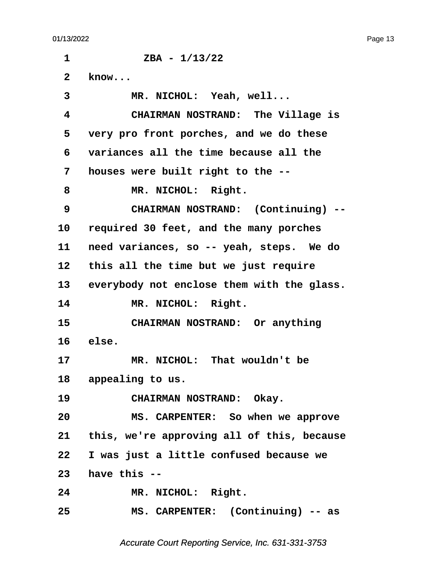<span id="page-13-0"></span> $1 \t\t ZBA - 1/13/22$ **·2· ·know...** 3 MR. NICHOL: Yeah, well... **·4· · · · · CHAIRMAN NOSTRAND:· The Village is ·5· ·very pro front porches, and we do these ·6· ·variances all the time because all the ·7· ·houses were built right to the --** 8 **MR. NICHOL: Right. ·9· · · · · CHAIRMAN NOSTRAND:· (Continuing) -- 10· ·required 30 feet, and the many porches** 11 need variances, so -- yeah, steps. We do 12 this all the time but we just require 13 everybody not enclose them with the glass. 14 MR. NICHOL: Right. 15 **CHAIRMAN NOSTRAND:** Or anything **16· ·else.** 17 MR. NICHOL: That wouldn't be 18 appealing to us. 19 **CHAIRMAN NOSTRAND:** Okay. **20· · · · · MS. CARPENTER:· So when we approve 21· ·this, we're approving all of this, because 22· ·I was just a little confused because we 23· ·have this --** 24 MR. NICHOL: Right. **25· · · · · MS. CARPENTER:· (Continuing) -- as**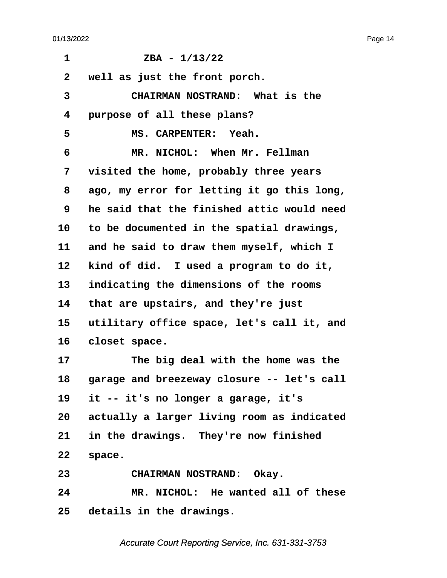<span id="page-14-0"></span>

| 1            | $ZBA - 1/13/22$                               |
|--------------|-----------------------------------------------|
| $\mathbf{2}$ | well as just the front porch.                 |
| 3            | CHAIRMAN NOSTRAND: What is the                |
| 4            | purpose of all these plans?                   |
| 5            | MS. CARPENTER: Yeah.                          |
| 6            | MR. NICHOL: When Mr. Fellman                  |
| 7            | visited the home, probably three years        |
| 8            | ago, my error for letting it go this long,    |
| 9            | he said that the finished attic would need    |
| 10           | to be documented in the spatial drawings,     |
| 11           | and he said to draw them myself, which I      |
| 12           | kind of did. I used a program to do it,       |
| 13           | indicating the dimensions of the rooms        |
| 14           | that are upstairs, and they're just           |
| 15           | utilitary office space, let's call it, and    |
| 16           | closet space.                                 |
| 17           | The big deal with the home was the            |
| 18           | garage and breezeway closure -- let's call    |
| 19           | it -- it's no longer a garage, it's           |
|              | 20 actually a larger living room as indicated |
| 21           | in the drawings. They're now finished         |
| 22           | space.                                        |
| 23           | CHAIRMAN NOSTRAND: Okay.                      |
| 24           | MR. NICHOL: He wanted all of these            |
|              | 25 details in the drawings.                   |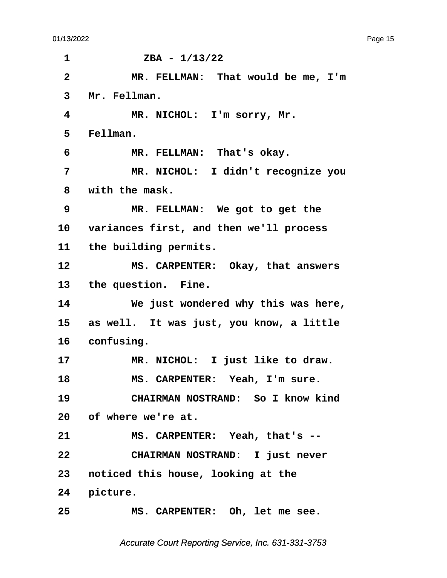<span id="page-15-0"></span> $1 \t\t ZBA - 1/13/22$ **·2· · · · · MR. FELLMAN:· That would be me, I'm** 3 Mr. Fellman. **·4· · · · · MR. NICHOL:· I'm sorry, Mr. ·5· ·Fellman. ·6· · · · · MR. FELLMAN:· That's okay. ·7· · · · · MR. NICHOL:· I didn't recognize you ·8· ·with the mask. ·9· · · · · MR. FELLMAN:· We got to get the** 10 variances first, and then we'll process 11 the building permits. 12 MS. CARPENTER: Okay, that answers 13 the question. Fine. 14 **We just wondered why this was here,** 15 as well. It was just, you know, a little 16 confusing. 17 MR. NICHOL: I just like to draw. 18 MS. CARPENTER: Yeah, I'm sure. **19· · · · · CHAIRMAN NOSTRAND:· So I know kind 20· ·of where we're at.** 21 MS. CARPENTER: Yeah, that's --**22· · · · · CHAIRMAN NOSTRAND:· I just never 23· ·noticed this house, looking at the** 24 picture. **25· · · · · MS. CARPENTER:· Oh, let me see.**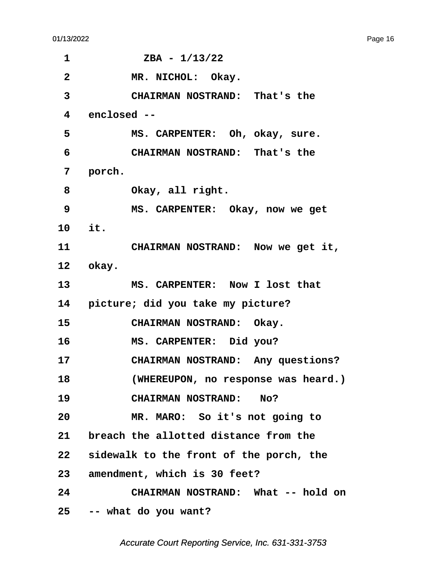<span id="page-16-0"></span>

| 1               | $ZBA - 1/13/22$                            |
|-----------------|--------------------------------------------|
| $\mathbf{2}$    | MR. NICHOL: Okay.                          |
| 3               | CHAIRMAN NOSTRAND: That's the              |
| $\overline{4}$  | enclosed --                                |
| 5               | MS. CARPENTER: Oh, okay, sure.             |
| 6               | CHAIRMAN NOSTRAND: That's the              |
| 7               | porch.                                     |
| 8               | Okay, all right.                           |
| 9               | MS. CARPENTER: Okay, now we get            |
| 10 it.          |                                            |
| 11              | CHAIRMAN NOSTRAND: Now we get it,          |
|                 | 12 okay.                                   |
| 13 <sup>7</sup> | MS. CARPENTER: Now I lost that             |
|                 | 14 picture; did you take my picture?       |
| 15              | CHAIRMAN NOSTRAND: Okay.                   |
| 16              | MS. CARPENTER: Did you?                    |
| 17              | CHAIRMAN NOSTRAND: Any questions?          |
| 18              | (WHEREUPON, no response was heard.)        |
| 19              | CHAIRMAN NOSTRAND: No?                     |
| 20              | MR. MARO: So it's not going to             |
| 21              | breach the allotted distance from the      |
|                 | 22 sidewalk to the front of the porch, the |
|                 | 23 amendment, which is 30 feet?            |
| 24              | CHAIRMAN NOSTRAND: What -- hold on         |
|                 | 25 -- what do you want?                    |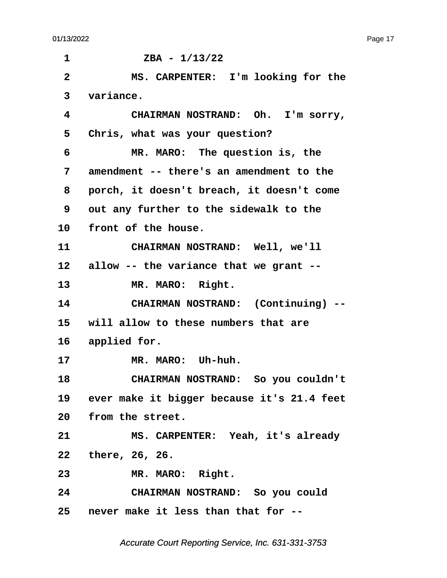$1 \t\t ZBA - 1/13/22$ **·2· · · · · MS. CARPENTER:· I'm looking for the ·3· ·variance. ·4· · · · · CHAIRMAN NOSTRAND:· Oh.· I'm sorry,** 5 Chris, what was your question? **·6· · · · · MR. MARO:· The question is, the ·7· ·amendment -- there's an amendment to the ·8· ·porch, it doesn't breach, it doesn't come ·9· ·out any further to the sidewalk to the** 10 front of the house. 11 **CHAIRMAN NOSTRAND:** Well, we'll 12 allow -- the variance that we grant --13 MR. MARO: Right. **14· · · · · CHAIRMAN NOSTRAND:· (Continuing) -- 15· ·will allow to these numbers that are** 16 applied for. 17 **MR. MARO:** Uh-huh. **18· · · · · CHAIRMAN NOSTRAND:· So you couldn't** 19 ever make it bigger because it's 21.4 feet 20 from the street. **21· · · · · MS. CARPENTER:· Yeah, it's already 22· ·there, 26, 26.** 23 MR. MARO: Right. **24· · · · · CHAIRMAN NOSTRAND:· So you could 25· ·never make it less than that for --**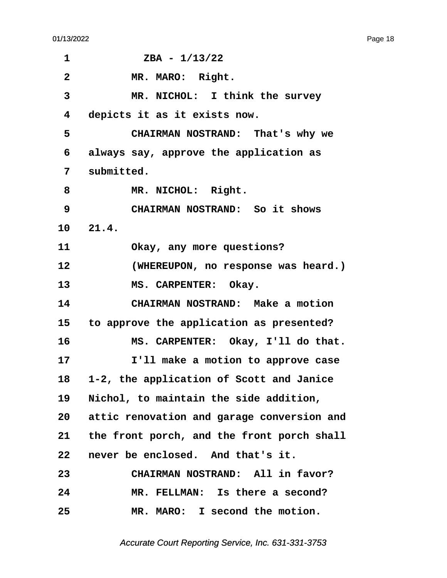| 1                       | $ZBA - 1/13/22$                               |
|-------------------------|-----------------------------------------------|
| $\overline{\mathbf{2}}$ | MR. MARO: Right.                              |
| 3                       | MR. NICHOL: I think the survey                |
| 4                       | depicts it as it exists now.                  |
| 5                       | CHAIRMAN NOSTRAND: That's why we              |
| 6                       | always say, approve the application as        |
| 7                       | submitted.                                    |
| 8                       | MR. NICHOL: Right.                            |
| 9                       | CHAIRMAN NOSTRAND: So it shows                |
|                         | 10 21.4.                                      |
| 11                      | Okay, any more questions?                     |
| 12                      | (WHEREUPON, no response was heard.)           |
| 13                      | MS. CARPENTER: Okay.                          |
| 14                      | CHAIRMAN NOSTRAND: Make a motion              |
| 15                      | to approve the application as presented?      |
| 16                      | MS. CARPENTER: Okay, I'll do that.            |
| 17                      | I'll make a motion to approve case            |
| 18                      | 1-2, the application of Scott and Janice      |
| 19                      | Nichol, to maintain the side addition,        |
|                         | 20 attic renovation and garage conversion and |
|                         | 21 the front porch, and the front porch shall |
| 22                      | never be enclosed. And that's it.             |
| 23                      | CHAIRMAN NOSTRAND: All in favor?              |
| 24                      | MR. FELLMAN: Is there a second?               |
| 25                      | MR. MARO: I second the motion.                |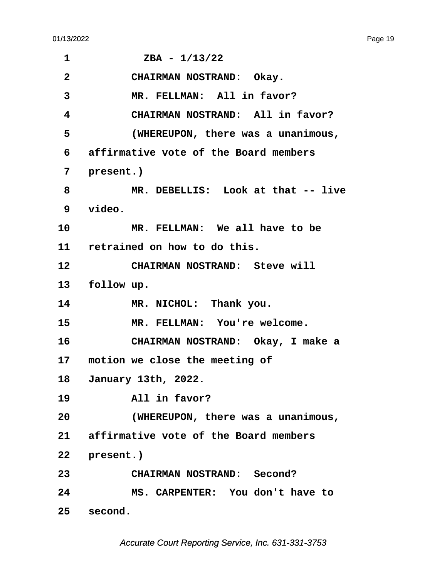| 1               | $ZBA - 1/13/22$                          |
|-----------------|------------------------------------------|
| $\overline{2}$  | CHAIRMAN NOSTRAND: Okay.                 |
| 3               | MR. FELLMAN: All in favor?               |
| 4               | CHAIRMAN NOSTRAND: All in favor?         |
| 5               | (WHEREUPON, there was a unanimous,       |
| 6               | affirmative vote of the Board members    |
| 7               | present.)                                |
| 8               | MR. DEBELLIS: Look at that -- live       |
| 9               | video.                                   |
| 10              | MR. FELLMAN: We all have to be           |
|                 | 11 retrained on how to do this.          |
| 12 <sub>2</sub> | CHAIRMAN NOSTRAND: Steve will            |
| 13              | follow up.                               |
| 14              | MR. NICHOL: Thank you.                   |
| 15              | MR. FELLMAN: You're welcome.             |
| 16              | CHAIRMAN NOSTRAND: Okay, I make a        |
|                 | 17 motion we close the meeting of        |
|                 | 18 January 13th, 2022.                   |
| 19              | All in favor?                            |
| 20              | (WHEREUPON, there was a unanimous,       |
|                 | 21 affirmative vote of the Board members |
|                 | 22 present.)                             |
| 23              | <b>CHAIRMAN NOSTRAND: Second?</b>        |
| 24              | MS. CARPENTER: You don't have to         |
| 25              | second.                                  |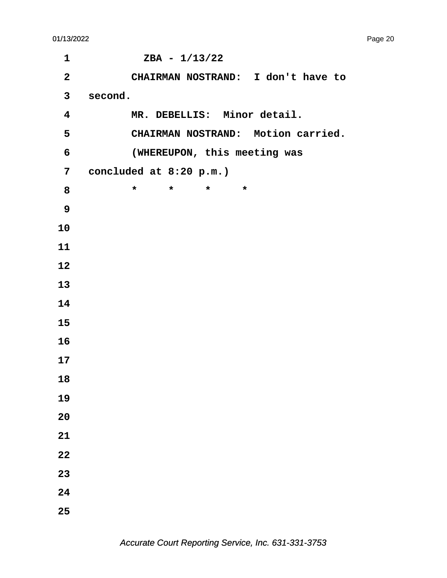| $\mathbf 1$             | $ZBA - 1/13/22$                          |
|-------------------------|------------------------------------------|
| $\mathbf{2}$            | CHAIRMAN NOSTRAND: I don't have to       |
| $\mathbf{3}$            | second.                                  |
| $\overline{\mathbf{4}}$ | MR. DEBELLIS: Minor detail.              |
| $5\phantom{.0}$         | CHAIRMAN NOSTRAND: Motion carried.       |
| 6                       | (WHEREUPON, this meeting was             |
| $7\overline{ }$         | concluded at 8:20 p.m.)                  |
| 8                       | $\star$<br>$\star$<br>$\star$<br>$\star$ |
| 9                       |                                          |
| 10                      |                                          |
| 11                      |                                          |
| 12                      |                                          |
| 13                      |                                          |
| 14                      |                                          |
| 15                      |                                          |
| 16                      |                                          |
| 17                      |                                          |
| 18                      |                                          |
| 19                      |                                          |
| 20                      |                                          |
| 21                      |                                          |
| 22                      |                                          |
| 23                      |                                          |
| 24                      |                                          |
| 25                      |                                          |
|                         |                                          |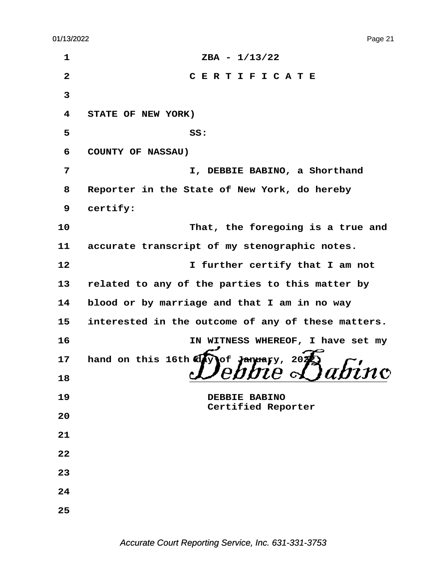| $\mathbf{1}$ | $ZBA - 1/13/22$                                         |
|--------------|---------------------------------------------------------|
| $\mathbf{2}$ | CERTIFICATE                                             |
| 3            |                                                         |
| 4            | STATE OF NEW YORK)                                      |
| 5            | SS:                                                     |
| 6            | COUNTY OF NASSAU)                                       |
| 7            | I, DEBBIE BABINO, a Shorthand                           |
| 8            | Reporter in the State of New York, do hereby            |
| 9            | certify:                                                |
| 10           | That, the foregoing is a true and                       |
| 11           | accurate transcript of my stenographic notes.           |
| 12           | I further certify that I am not                         |
| 13           | related to any of the parties to this matter by         |
| 14           | blood or by marriage and that I am in no way            |
| 15           | interested in the outcome of any of these matters.      |
| 16           | IN WITNESS WHEREOF, I have set my                       |
| 17           | hand on this 16th $\overline{dy}$<br>of Jandary,<br>202 |
| 18           | $\sim$ $\sim$ $\sim$ $\sim$ $\sim$                      |
| 19           | DEBBIE BABINO<br>Certified Reporter                     |
| 20           |                                                         |
| 21           |                                                         |
| 22           |                                                         |
| 23           |                                                         |
| 24           |                                                         |
| 25           |                                                         |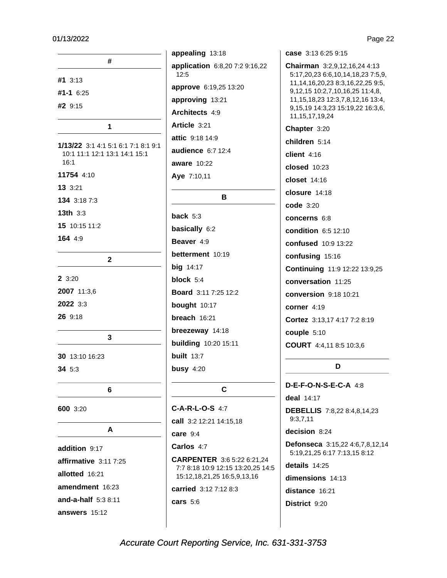| #                                                                            |  |
|------------------------------------------------------------------------------|--|
| #1 3:13                                                                      |  |
| $#1 - 1$ 6:25                                                                |  |
| #2 9:15                                                                      |  |
|                                                                              |  |
| 1                                                                            |  |
| 1/13/22 3:1 4:1 5:1 6:1 7:1 8:1 9:1<br>10:1 11:1 12:1 13:1 14:1 15:1<br>16:1 |  |
| 11754 4:10                                                                   |  |
| 13 3:21                                                                      |  |
| 134 3:18 7:3                                                                 |  |
| <b>13th</b> 3:3                                                              |  |
| 15 10:15 11:2                                                                |  |
| 164 4:9                                                                      |  |
|                                                                              |  |
| $\overline{2}$                                                               |  |
| 2 3:20                                                                       |  |
| 2007 11:3,6                                                                  |  |
| 2022 3:3                                                                     |  |
| 26 9:18                                                                      |  |
|                                                                              |  |
| 3                                                                            |  |
| <b>30</b> 13:10 16:23                                                        |  |
| 34 5:3                                                                       |  |
|                                                                              |  |
| 6                                                                            |  |
| 600 3:20                                                                     |  |
| A                                                                            |  |
| addition 9:17                                                                |  |
| affirmative 3:11 7:25                                                        |  |
| allotted 16:21                                                               |  |
| amendment 16:23                                                              |  |
| and-a-half 5:3 8:11                                                          |  |
| answers 15:12                                                                |  |

appealing 13:18 application 6:8,20 7:2 9:16,22  $12:5$ approve 6:19,25 13:20 approving 13:21 Architects 4:9 Article 3:21 attic 9:18 14:9 audience 6:7 12:4 **aware** 10:22 Aye 7:10,11 B back  $5:3$ basically 6:2 Beaver 4:9 betterment 10:19 **big** 14:17 block 5:4 Board 3:11 7:25 12:2 bought 10:17 breach 16:21 breezeway 14:18 **building** 10:20 15:11 **built** 13:7 busy  $4:20$ 

#### $\mathbf{C}$

C-A-R-L-O-S 4:7 call 3:2 12:21 14:15,18  $care 9:4$ Carlos 4:7

CARPENTER 3:6 5:22 6:21,24 7:7 8:18 10:9 12:15 13:20,25 14:5 15:12,18,21,25 16:5,9,13,16 carried 3:12 7:12 8:3 cars  $5:6$ 

case 3:13 6:25 9:15

Chairman 3:2,9,12,16,24 4:13 5:17,20,23 6:6,10,14,18,23 7:5,9, 11, 14, 16, 20, 23 8: 3, 16, 22, 25 9: 5, 9, 12, 15 10: 2, 7, 10, 16, 25 11: 4, 8, 11, 15, 18, 23 12: 3, 7, 8, 12, 16 13: 4, 9,15,19 14:3,23 15:19,22 16:3,6, 11, 15, 17, 19, 24 Chapter 3:20 children 5:14 client  $4:16$ **closed** 10:23 **closet** 14:16 closure 14:18 code 3:20 concerns 6:8 **condition** 6:5 12:10 confused 10:9 13:22 confusing 15:16 Continuing 11:9 12:22 13:9,25 conversation 11:25 conversion 9:18 10:21 corner 4:19 Cortez 3:13.17 4:17 7:2 8:19 couple 5:10 COURT 4:4,11 8:5 10:3,6

#### D

D-E-F-O-N-S-E-C-A 4:8 deal 14:17 **DEBELLIS** 7:8,22 8:4,8,14,23  $9:3,7,11$ decision 8:24 Defonseca 3:15,22 4:6,7,8,12,14 5:19,21,25 6:17 7:13,15 8:12 details 14:25 dimensions 14:13 distance 16:21 District 9:20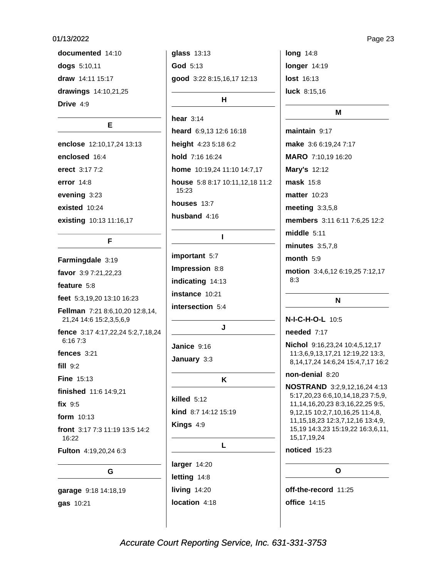documented 14:10 dogs 5:10,11 draw 14:11 15:17 drawings 14:10,21,25 Drive 4:9

#### Е

enclose 12:10,17,24 13:13 enclosed 16:4 erect 3:17 7:2 error 14:8 evening 3:23 existed 10:24 existing 10:13 11:16,17

### F

Farmingdale 3:19 favor 3:9 7:21,22,23 feature  $5:8$ feet 5:3,19,20 13:10 16:23 **Fellman** 7:21 8:6,10,20 12:8,14, 21,24 14:6 15:2,3,5,6,9 fence 3:17 4:17,22,24 5:2,7,18,24 6:16 7:3 fences  $3:21$  $fill 9:2$ **Fine 15:13** finished 11:6 14:9,21 fix  $9:5$ form 10:13 front 3:17 7:3 11:19 13:5 14:2 16:22 Fulton 4:19.20.24 6:3 G

garage 9:18 14:18,19 gas 10:21

glass 13:13 God 5:13 good 3:22 8:15,16,17 12:13 H

hear  $3:14$ heard 6:9,13 12:6 16:18 height 4:23 5:18 6:2 hold 7:16 16:24 home 10:19,24 11:10 14:7,17 house 5:8 8:17 10:11,12,18 11:2 15:23 houses 13:7 husband 4:16

#### $\mathbf{I}$

important 5:7 Impression 8:8 indicating 14:13 instance 10:21 intersection 5:4

#### J

Janice 9:16 January 3:3

#### K

L

killed  $5:12$ kind 8:7 14:12 15:19 Kings 4:9

larger 14:20 letting 14:8 living  $14:20$ location 4:18 **long 14:8** longer 14:19 lost 16:13 **luck**  $8:15,16$ 

#### M

maintain  $9:17$ make 3:6 6:19,24 7:17 MARO 7:10,19 16:20 Mary's 12:12  $mask$  15:8 **matter** 10:23 meeting 3:3,5,8 members 3:11 6:11 7:6,25 12:2 middle  $5:11$ minutes  $3:5.7.8$ month  $5:9$ motion 3:4,6,12 6:19,25 7:12,17  $8:3$ 

#### N

N-I-C-H-O-L 10:5

needed 7:17

Nichol 9:16,23,24 10:4,5,12,17 11:3,6,9,13,17,21 12:19,22 13:3, 8, 14, 17, 24 14: 6, 24 15: 4, 7, 17 16: 2

#### non-denial 8:20

**NOSTRAND** 3:2,9,12,16,24 4:13 5:17,20,23 6:6,10,14,18,23 7:5,9, 11, 14, 16, 20, 23 8: 3, 16, 22, 25 9: 5, 9, 12, 15 10: 2, 7, 10, 16, 25 11: 4, 8, 11, 15, 18, 23 12: 3, 7, 12, 16 13: 4, 9, 15,19 14:3,23 15:19,22 16:3,6,11, 15, 17, 19, 24

noticed 15:23

#### $\Omega$

off-the-record 11:25 **office** 14:15